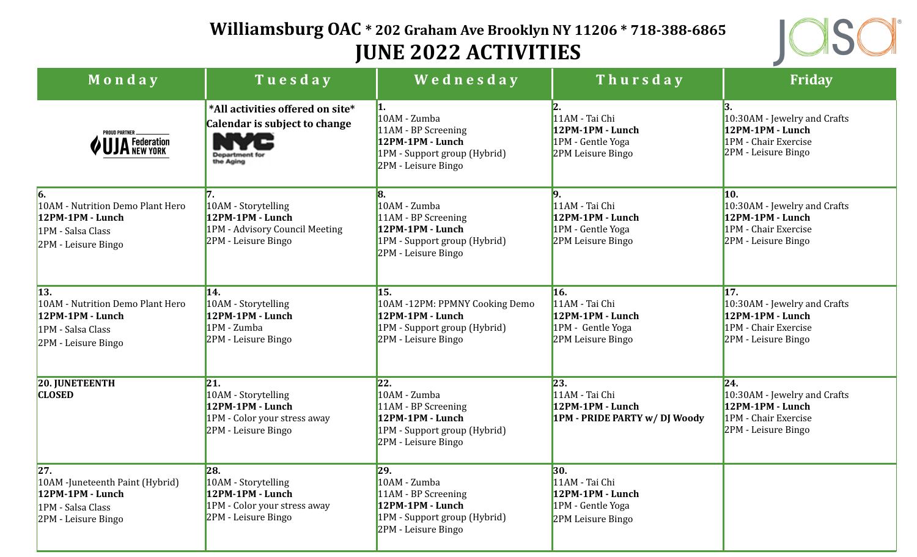## **Williamsburg OAC \* 202 Graham Ave Brooklyn NY 11206 \* 718-388-6865 JUNE 2022 ACTIVITIES**



| Monday                                                                                                    | Tuesday                                                                                                           | Wednesday                                                                                                                         | Thursday                                                                            | <b>Friday</b>                                                                                          |
|-----------------------------------------------------------------------------------------------------------|-------------------------------------------------------------------------------------------------------------------|-----------------------------------------------------------------------------------------------------------------------------------|-------------------------------------------------------------------------------------|--------------------------------------------------------------------------------------------------------|
| PROUD PARTNER<br>JA Federation                                                                            | *All activities offered on site*<br>Calendar is subject to change<br>the Aging                                    | 10AM - Zumba<br>11AM - BP Screening<br>12PM-1PM - Lunch<br>1PM - Support group (Hybrid)<br>2PM - Leisure Bingo                    | 11AM - Tai Chi<br>12PM-1PM - Lunch<br>1PM - Gentle Yoga<br>2PM Leisure Bingo        | 10:30AM - Jewelry and Crafts<br>12PM-1PM - Lunch<br>1PM - Chair Exercise<br>2PM - Leisure Bingo        |
| 6.<br>10AM - Nutrition Demo Plant Hero<br>12PM-1PM - Lunch<br>1PM - Salsa Class<br>2PM - Leisure Bingo    | 10AM - Storytelling<br>12PM-1PM - Lunch<br>1PM - Advisory Council Meeting<br>2PM - Leisure Bingo                  | 8.<br>10AM - Zumba<br>11AM - BP Screening<br>12PM-1PM - Lunch<br>1PM - Support group (Hybrid)<br>2PM - Leisure Bingo              | 11AM - Tai Chi<br>12PM-1PM - Lunch<br>1PM - Gentle Yoga<br>2PM Leisure Bingo        | 10.<br>10:30AM - Jewelry and Crafts<br>12PM-1PM - Lunch<br>1PM - Chair Exercise<br>2PM - Leisure Bingo |
| 13.<br>10AM - Nutrition Demo Plant Hero<br>12PM-1PM - Lunch<br>1PM - Salsa Class<br>2PM - Leisure Bingo   | 14.<br>10AM - Storytelling<br>12PM-1PM - Lunch<br>1PM - Zumba<br>2PM - Leisure Bingo                              | 15.<br>10AM -12PM: PPMNY Cooking Demo<br>12PM-1PM - Lunch<br>1PM - Support group (Hybrid)<br>2PM - Leisure Bingo                  | 16.<br>11AM - Tai Chi<br>12PM-1PM - Lunch<br>1PM - Gentle Yoga<br>2PM Leisure Bingo | 17.<br>10:30AM - Jewelry and Crafts<br>12PM-1PM - Lunch<br>1PM - Chair Exercise<br>2PM - Leisure Bingo |
| <b>20. JUNETEENTH</b><br><b>CLOSED</b>                                                                    | 21.<br>10AM - Storytelling<br>12PM-1PM - Lunch<br>1PM - Color your stress away<br>2PM - Leisure Bingo             | 22.<br>10AM - Zumba<br>11AM - BP Screening<br>12PM-1PM - Lunch<br>1PM - Support group (Hybrid)<br>2PM - Leisure Bingo             | 23.<br>11AM - Tai Chi<br>12PM-1PM - Lunch<br>1PM - PRIDE PARTY w/DJ Woody           | 24.<br>10:30AM - Jewelry and Crafts<br>12PM-1PM - Lunch<br>1PM - Chair Exercise<br>2PM - Leisure Bingo |
| 27 <br>10AM - Juneteenth Paint (Hybrid)<br>$12PM-1PM$ - Lunch<br>1PM - Salsa Class<br>2PM - Leisure Bingo | $\overline{28}$<br>10AM - Storytelling<br>12PM-1PM - Lunch<br>1PM - Color your stress away<br>2PM - Leisure Bingo | $\overline{29}$<br>10AM - Zumba<br>11AM - BP Screening<br>12PM-1PM - Lunch<br>1PM - Support group (Hybrid)<br>2PM - Leisure Bingo | 30.<br>11AM - Tai Chi<br>12PM-1PM - Lunch<br>1PM - Gentle Yoga<br>2PM Leisure Bingo |                                                                                                        |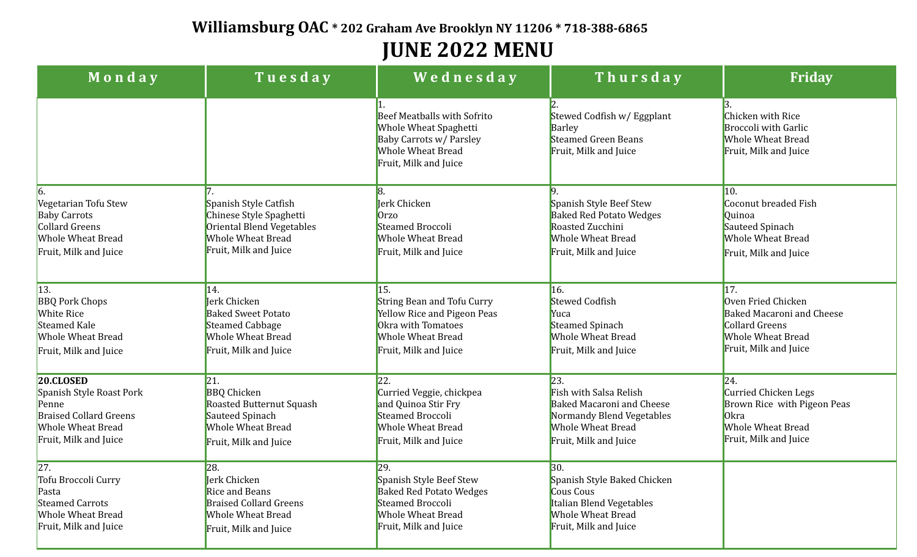## **Williamsburg OAC \* 202 Graham Ave Brooklyn NY 11206 \* 718-388-6865 JUNE 2022 MENU**

| Monday                                                                                                                        | Tuesday                                                                                                                                   | Wednesday                                                                                                                                   | Thursday                                                                                                                                            | <b>Friday</b>                                                                                                                               |
|-------------------------------------------------------------------------------------------------------------------------------|-------------------------------------------------------------------------------------------------------------------------------------------|---------------------------------------------------------------------------------------------------------------------------------------------|-----------------------------------------------------------------------------------------------------------------------------------------------------|---------------------------------------------------------------------------------------------------------------------------------------------|
|                                                                                                                               |                                                                                                                                           | <b>Beef Meatballs with Sofrito</b><br>Whole Wheat Spaghetti<br>Baby Carrots w/ Parsley<br><b>Whole Wheat Bread</b><br>Fruit, Milk and Juice | Stewed Codfish w/ Eggplant<br>Barley<br><b>Steamed Green Beans</b><br>Fruit, Milk and Juice                                                         | Chicken with Rice<br><b>Broccoli with Garlic</b><br><b>Whole Wheat Bread</b><br>Fruit, Milk and Juice                                       |
| Vegetarian Tofu Stew<br><b>Baby Carrots</b><br>Collard Greens<br><b>Whole Wheat Bread</b><br>Fruit, Milk and Juice            | Spanish Style Catfish<br>Chinese Style Spaghetti<br>Oriental Blend Vegetables<br><b>Whole Wheat Bread</b><br>Fruit, Milk and Juice        | <b>Jerk Chicken</b><br>0rzo<br>Steamed Broccoli<br><b>Whole Wheat Bread</b><br>Fruit, Milk and Juice                                        | Spanish Style Beef Stew<br><b>Baked Red Potato Wedges</b><br>Roasted Zucchini<br><b>Whole Wheat Bread</b><br>Fruit, Milk and Juice                  | 10.<br>Coconut breaded Fish<br>Quinoa<br>Sauteed Spinach<br><b>Whole Wheat Bread</b><br>Fruit, Milk and Juice                               |
| $\vert$ 13.<br><b>BBQ Pork Chops</b><br><b>White Rice</b><br>Steamed Kale<br>Whole Wheat Bread<br>Fruit, Milk and Juice       | 14.<br><b>Jerk Chicken</b><br><b>Baked Sweet Potato</b><br><b>Steamed Cabbage</b><br><b>Whole Wheat Bread</b><br>Fruit, Milk and Juice    | <b>String Bean and Tofu Curry</b><br>Yellow Rice and Pigeon Peas<br>Okra with Tomatoes<br><b>Whole Wheat Bread</b><br>Fruit, Milk and Juice | 16.<br><b>Stewed Codfish</b><br>Yuca<br><b>Steamed Spinach</b><br><b>Whole Wheat Bread</b><br>Fruit, Milk and Juice                                 | 17.<br>Oven Fried Chicken<br><b>Baked Macaroni and Cheese</b><br><b>Collard Greens</b><br><b>Whole Wheat Bread</b><br>Fruit, Milk and Juice |
| 20.CLOSED<br>Spanish Style Roast Pork<br>Penne<br><b>Braised Collard Greens</b><br>Whole Wheat Bread<br>Fruit, Milk and Juice | 21.<br><b>BBQ</b> Chicken<br><b>Roasted Butternut Squash</b><br>Sauteed Spinach<br><b>Whole Wheat Bread</b><br>Fruit, Milk and Juice      | 22.<br>Curried Veggie, chickpea<br>and Quinoa Stir Fry<br>Steamed Broccoli<br><b>Whole Wheat Bread</b><br>Fruit, Milk and Juice             | 23.<br>Fish with Salsa Relish<br><b>Baked Macaroni and Cheese</b><br>Normandy Blend Vegetables<br><b>Whole Wheat Bread</b><br>Fruit, Milk and Juice | 24.<br>Curried Chicken Legs<br>Brown Rice with Pigeon Peas<br><b>Okra</b><br><b>Whole Wheat Bread</b><br>Fruit, Milk and Juice              |
| 27.<br>Tofu Broccoli Curry<br>Pasta<br><b>Steamed Carrots</b><br>Whole Wheat Bread<br>Fruit, Milk and Juice                   | 28.<br><b>Jerk Chicken</b><br><b>Rice and Beans</b><br><b>Braised Collard Greens</b><br><b>Whole Wheat Bread</b><br>Fruit, Milk and Juice | 29.<br>Spanish Style Beef Stew<br><b>Baked Red Potato Wedges</b><br>Steamed Broccoli<br><b>Whole Wheat Bread</b><br>Fruit, Milk and Juice   | 30.<br>Spanish Style Baked Chicken<br>Cous Cous<br>Italian Blend Vegetables<br><b>Whole Wheat Bread</b><br>Fruit, Milk and Juice                    |                                                                                                                                             |